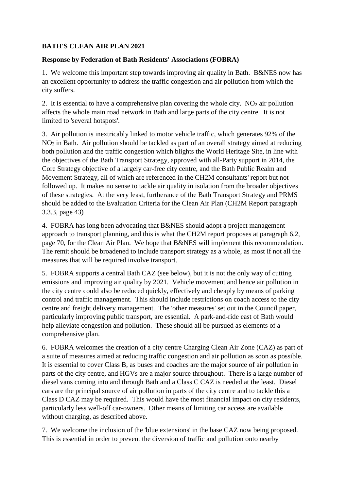## **BATH'S CLEAN AIR PLAN 2021**

## **Response by Federation of Bath Residents' Associations (FOBRA)**

1. We welcome this important step towards improving air quality in Bath. B&NES now has an excellent opportunity to address the traffic congestion and air pollution from which the city suffers.

2. It is essential to have a comprehensive plan covering the whole city.  $NO<sub>2</sub>$  air pollution affects the whole main road network in Bath and large parts of the city centre. It is not limited to 'several hotspots'.

3. Air pollution is inextricably linked to motor vehicle traffic, which generates 92% of the NO<sup>2</sup> in Bath. Air pollution should be tackled as part of an overall strategy aimed at reducing both pollution and the traffic congestion which blights the World Heritage Site, in line with the objectives of the Bath Transport Strategy, approved with all-Party support in 2014, the Core Strategy objective of a largely car-free city centre, and the Bath Public Realm and Movement Strategy, all of which are referenced in the CH2M consultants' report but not followed up. It makes no sense to tackle air quality in isolation from the broader objectives of these strategies. At the very least, furtherance of the Bath Transport Strategy and PRMS should be added to the Evaluation Criteria for the Clean Air Plan (CH2M Report paragraph 3.3.3, page 43)

4. FOBRA has long been advocating that B&NES should adopt a project management approach to transport planning, and this is what the CH2M report proposes at paragraph 6.2, page 70, for the Clean Air Plan. We hope that B&NES will implement this recommendation. The remit should be broadened to include transport strategy as a whole, as most if not all the measures that will be required involve transport.

5. FOBRA supports a central Bath CAZ (see below), but it is not the only way of cutting emissions and improving air quality by 2021. Vehicle movement and hence air pollution in the city centre could also be reduced quickly, effectively and cheaply by means of parking control and traffic management. This should include restrictions on coach access to the city centre and freight delivery management. The 'other measures' set out in the Council paper, particularly improving public transport, are essential. A park-and-ride east of Bath would help alleviate congestion and pollution. These should all be pursued as elements of a comprehensive plan.

6. FOBRA welcomes the creation of a city centre Charging Clean Air Zone (CAZ) as part of a suite of measures aimed at reducing traffic congestion and air pollution as soon as possible. It is essential to cover Class B, as buses and coaches are the major source of air pollution in parts of the city centre, and HGVs are a major source throughout. There is a large number of diesel vans coming into and through Bath and a Class C CAZ is needed at the least. Diesel cars are the principal source of air pollution in parts of the city centre and to tackle this a Class D CAZ may be required. This would have the most financial impact on city residents, particularly less well-off car-owners. Other means of limiting car access are available without charging, as described above.

7. We welcome the inclusion of the 'blue extensions' in the base CAZ now being proposed. This is essential in order to prevent the diversion of traffic and pollution onto nearby